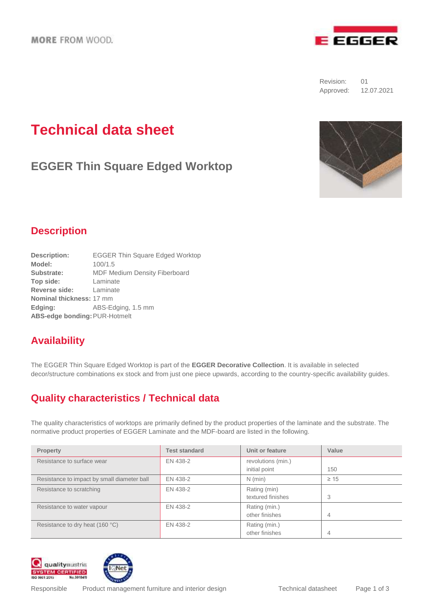

Revision: 01 Approved: 12.07.2021

# **Technical data sheet**

**EGGER Thin Square Edged Worktop**



### **Description**

| <b>EGGER Thin Square Edged Worktop</b> |  |  |  |  |
|----------------------------------------|--|--|--|--|
| 100/1.5                                |  |  |  |  |
| <b>MDF Medium Density Fiberboard</b>   |  |  |  |  |
| Laminate                               |  |  |  |  |
| Laminate                               |  |  |  |  |
| Nominal thickness: 17 mm               |  |  |  |  |
| ABS-Edging, 1.5 mm                     |  |  |  |  |
| ABS-edge bonding: PUR-Hotmelt          |  |  |  |  |
|                                        |  |  |  |  |

## **Availability**

The EGGER Thin Square Edged Worktop is part of the **EGGER Decorative Collection**. It is available in selected decor/structure combinations ex stock and from just one piece upwards, according to the country-specific availability guides.

## **Quality characteristics / Technical data**

The quality characteristics of worktops are primarily defined by the product properties of the laminate and the substrate. The normative product properties of EGGER Laminate and the MDF-board are listed in the following.

| Property                                    | <b>Test standard</b> | Unit or feature                     | Value     |
|---------------------------------------------|----------------------|-------------------------------------|-----------|
| Resistance to surface wear                  | EN 438-2             | revolutions (min.)<br>initial point | 150       |
| Resistance to impact by small diameter ball | EN 438-2             | $N$ (min)                           | $\geq 15$ |
| Resistance to scratching                    | EN 438-2             | Rating (min)<br>textured finishes   | 3         |
| Resistance to water vapour                  | EN 438-2             | Rating (min.)<br>other finishes     | 4         |
| Resistance to dry heat (160 °C)             | EN 438-2             | Rating (min.)<br>other finishes     | 4         |



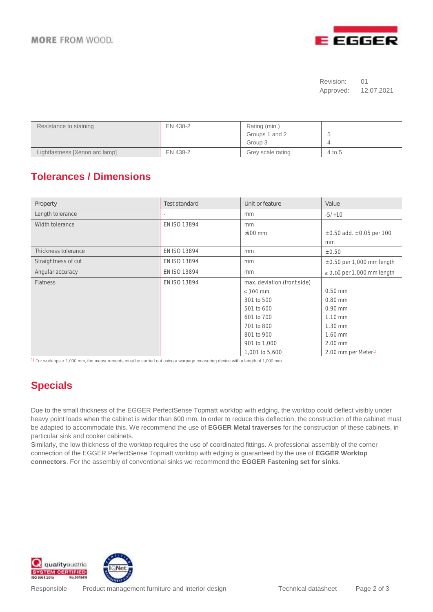

#### Revision: 01 Approved: 12.07.2021

| Resistance to staining         | EN 438-2 | Rating (min.)<br>Groups 1 and 2<br>Group 3 | $\checkmark$ |
|--------------------------------|----------|--------------------------------------------|--------------|
| Lightfastness [Xenon arc lamp] | EN 438-2 | Grey scale rating                          | 4 to 5       |

## **Tolerances / Dimensions**

| Property            | Test standard | Unit or feature             | Value                              |
|---------------------|---------------|-----------------------------|------------------------------------|
| Length tolerance    |               | mm                          | $-5/10$                            |
| Width tolerance     | EN ISO 13894  | mm                          |                                    |
|                     |               | $>500$ mm                   | $\pm$ 0.50 add. $\pm$ 0.05 per 100 |
|                     |               |                             | mm                                 |
| Thickness tolerance | EN ISO 13894  | mm                          | ± 0.50                             |
| Straightness of cut | EN ISO 13894  | mm                          | $\pm$ 0.50 per 1,000 mm length     |
| Angular accuracy    | EN ISO 13894  | mm                          | $\leq$ 2.00 per 1,000 mm length    |
| <b>Flatness</b>     | EN ISO 13894  | max. deviation (front side) |                                    |
|                     |               | $\leq$ 300 mm               | $0.50$ mm                          |
|                     |               | 301 to 500                  | $0.80$ mm                          |
|                     |               | 501 to 600                  | $0.90$ mm                          |
|                     |               | 601 to 700                  | $1.10$ mm                          |
|                     |               | 701 to 800                  | $1.30$ mm                          |
|                     |               | 801 to 900                  | 1.60 mm                            |
|                     |               | 901 to 1,000                | $2.00$ mm                          |
|                     |               | 1,001 to 5,600              | 2.00 mm per Meter <sup>1)</sup>    |

<sup>1)</sup> For worktops > 1,000 mm, the measurements must be carried out using a warpage measuring device with a length of 1,000 mm.

## **Specials**

Due to the small thickness of the EGGER PerfectSense Topmatt worktop with edging, the worktop could deflect visibly under heavy point loads when the cabinet is wider than 600 mm. In order to reduce this deflection, the construction of the cabinet must be adapted to accommodate this. We recommend the use of **EGGER Metal traverses** for the construction of these cabinets, in particular sink and cooker cabinets.

Similarly, the low thickness of the worktop requires the use of coordinated fittings. A professional assembly of the corner connection of the EGGER PerfectSense Topmatt worktop with edging is guaranteed by the use of **EGGER Worktop connectors**. For the assembly of conventional sinks we recommend the **EGGER Fastening set for sinks**.